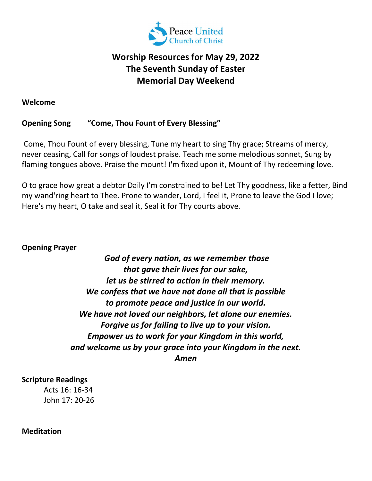

# Worship Resources for May 29, 2022 The Seventh Sunday of Easter Memorial Day Weekend

#### Welcome

## Opening Song "Come, Thou Fount of Every Blessing"

 Come, Thou Fount of every blessing, Tune my heart to sing Thy grace; Streams of mercy, never ceasing, Call for songs of loudest praise. Teach me some melodious sonnet, Sung by flaming tongues above. Praise the mount! I'm fixed upon it, Mount of Thy redeeming love.

O to grace how great a debtor Daily I'm constrained to be! Let Thy goodness, like a fetter, Bind my wand'ring heart to Thee. Prone to wander, Lord, I feel it, Prone to leave the God I love; Here's my heart, O take and seal it, Seal it for Thy courts above.

## Opening Prayer

 God of every nation, as we remember those that gave their lives for our sake, let us be stirred to action in their memory. We confess that we have not done all that is possible to promote peace and justice in our world. We have not loved our neighbors, let alone our enemies. Forgive us for failing to live up to your vision. Empower us to work for your Kingdom in this world, and welcome us by your grace into your Kingdom in the next. Amen

## Scripture Readings

Acts 16: 16-34 John 17: 20-26

#### **Meditation**